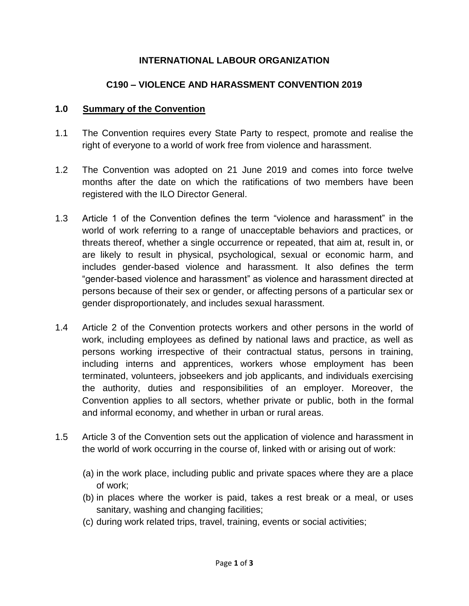# **INTERNATIONAL LABOUR ORGANIZATION**

## **C190 – VIOLENCE AND HARASSMENT CONVENTION 2019**

#### **1.0 Summary of the Convention**

- 1.1 The Convention requires every State Party to respect, promote and realise the right of everyone to a world of work free from violence and harassment.
- 1.2 The Convention was adopted on 21 June 2019 and comes into force twelve months after the date on which the ratifications of two members have been registered with the ILO Director General.
- 1.3 Article 1 of the Convention defines the term "violence and harassment" in the world of work referring to a range of unacceptable behaviors and practices, or threats thereof, whether a single occurrence or repeated, that aim at, result in, or are likely to result in physical, psychological, sexual or economic harm, and includes gender-based violence and harassment. It also defines the term "gender-based violence and harassment" as violence and harassment directed at persons because of their sex or gender, or affecting persons of a particular sex or gender disproportionately, and includes sexual harassment.
- 1.4 Article 2 of the Convention protects workers and other persons in the world of work, including employees as defined by national laws and practice, as well as persons working irrespective of their contractual status, persons in training, including interns and apprentices, workers whose employment has been terminated, volunteers, jobseekers and job applicants, and individuals exercising the authority, duties and responsibilities of an employer. Moreover, the Convention applies to all sectors, whether private or public, both in the formal and informal economy, and whether in urban or rural areas.
- 1.5 Article 3 of the Convention sets out the application of violence and harassment in the world of work occurring in the course of, linked with or arising out of work:
	- (a) in the work place, including public and private spaces where they are a place of work;
	- (b) in places where the worker is paid, takes a rest break or a meal, or uses sanitary, washing and changing facilities;
	- (c) during work related trips, travel, training, events or social activities;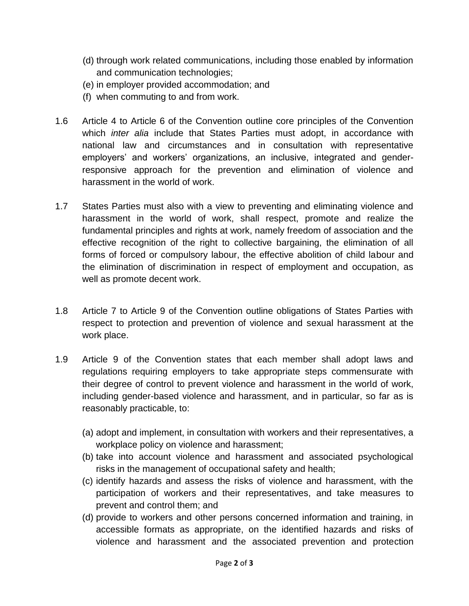- (d) through work related communications, including those enabled by information and communication technologies;
- (e) in employer provided accommodation; and
- (f) when commuting to and from work.
- 1.6 Article 4 to Article 6 of the Convention outline core principles of the Convention which *inter alia* include that States Parties must adopt, in accordance with national law and circumstances and in consultation with representative employers' and workers' organizations, an inclusive, integrated and genderresponsive approach for the prevention and elimination of violence and harassment in the world of work.
- 1.7 States Parties must also with a view to preventing and eliminating violence and harassment in the world of work, shall respect, promote and realize the fundamental principles and rights at work, namely freedom of association and the effective recognition of the right to collective bargaining, the elimination of all forms of forced or compulsory labour, the effective abolition of child labour and the elimination of discrimination in respect of employment and occupation, as well as promote decent work.
- 1.8 Article 7 to Article 9 of the Convention outline obligations of States Parties with respect to protection and prevention of violence and sexual harassment at the work place.
- 1.9 Article 9 of the Convention states that each member shall adopt laws and regulations requiring employers to take appropriate steps commensurate with their degree of control to prevent violence and harassment in the world of work, including gender-based violence and harassment, and in particular, so far as is reasonably practicable, to:
	- (a) adopt and implement, in consultation with workers and their representatives, a workplace policy on violence and harassment;
	- (b) take into account violence and harassment and associated psychological risks in the management of occupational safety and health;
	- (c) identify hazards and assess the risks of violence and harassment, with the participation of workers and their representatives, and take measures to prevent and control them; and
	- (d) provide to workers and other persons concerned information and training, in accessible formats as appropriate, on the identified hazards and risks of violence and harassment and the associated prevention and protection